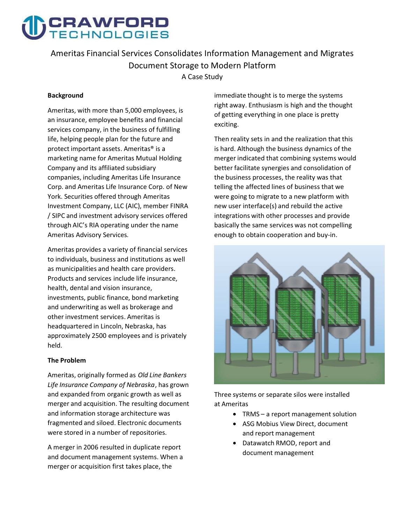

**Ameritas Financial Services Consolidates Information Management and Migrates Document Storage to Modern Platform A Case Study** 

#### **Background**

**Ameritas, with more than 5,000 employees, is an insurance, employee benefits and financial services company, in the business of fulfilling life, helping people plan for the future and protect important assets. Ameritas® is a marketing name for Ameritas Mutual Holding Company and its affiliated subsidiary companies, including Ameritas Life Insurance Corp. and Ameritas Life Insurance Corp. of New York. Securities offered through Ameritas Investment Company, LLC (AIC), member FINRA / SIPC and investment advisory services offered through AIC's RIA operating under the name Ameritas Advisory Services.** 

**Ameritas provides a variety of financial services to individuals, business and institutions as well as municipalities and health care providers. Products and services include life insurance, health, dental and vision insurance, investments, public finance, bond marketing and underwriting as well as brokerage and other investment services. Ameritas is headquartered in Lincoln, Nebraska, has approximately 2500 employees and is privately held.** 

#### **The Problem**

**Ameritas, originally formed as Old Line Bankers Life Insurance Company of Nebraska, has grown and expanded from organic growth as well as merger and acquisition. The resulting document and information storage architecture was fragmented and siloed. Electronic documents were stored in a number of repositories.** 

**A merger in 2006 resulted in duplicate report and document management systems. When a merger or acquisition first takes place, the** 

**immediate thought is to merge the systems right away. Enthusiasm is high and the thought of getting everything in one place is pretty exciting.** 

**Then reality sets in and the realization that this is hard. Although the business dynamics of the merger indicated that combining systems would better facilitate synergies and consolidation of the business processes, the reality was that telling the affected lines of business that we were going to migrate to a new platform with new user interface(s) and rebuild the active integrations with other processes and provide basically the same services was not compelling enough to obtain cooperation and buy-in.** 



**Three systems or separate silos were installed at Ameritas** 

- **TRMS a report management solution**
- **ASG Mobius View Direct, document and report management**
- **Datawatch RMOD, report and document management**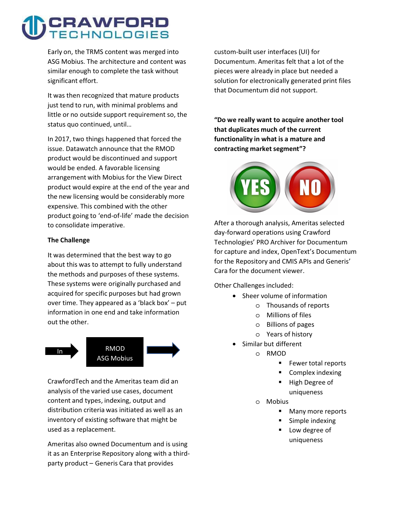## CRAWFORD **JOLOGIES**

**Early on, the TRMS content was merged into ASG Mobius. The architecture and content was similar enough to complete the task without significant effort.** 

**It was then recognized that mature products just tend to run, with minimal problems and little or no outside support requirement so, the status quo continued, until…** 

**In 2017, two things happened that forced the issue. Datawatch announce that the RMOD product would be discontinued and support would be ended. A favorable licensing arrangement with Mobius for the View Direct product would expire at the end of the year and the new licensing would be considerably more expensive. This combined with the other product going to 'end-of-life' made the decision to consolidate imperative.** 

### **The Challenge**

**It was determined that the best way to go about this was to attempt to fully understand the methods and purposes of these systems. These systems were originally purchased and acquired for specific purposes but had grown over time. They appeared as a 'black box' – put information in one end and take information out the other.** 



**CrawfordTech and the Ameritas team did an analysis of the varied use cases, document content and types, indexing, output and distribution criteria was initiated as well as an inventory of existing software that might be used as a replacement.** 

**Ameritas also owned Documentum and is using it as an Enterprise Repository along with a thirdparty product – Generis Cara that provides** 

**custom-built user interfaces (UI) for Documentum. Ameritas felt that a lot of the pieces were already in place but needed a solution for electronically generated print files that Documentum did not support.** 

**"Do we really want to acquire another tool that duplicates much of the current functionality in what is a mature and contracting market segment"?** 



**After a thorough analysis, Ameritas selected day-forward operations using Crawford Technologies' PRO Archiver for Documentum for capture and index, OpenText's Documentum for the Repository and CMIS APIs and Generis' Cara for the document viewer.** 

**Other Challenges included:** 

- **Sheer volume of information**
	- o **Thousands of reports**
	- o **Millions of files**
	- o **Billions of pages**
	- o **Years of history**
- **Similar but different**
	- o **RMOD**
		- **Fewer total reports**
		- **Complex indexing**
		- **High Degree of**
		- **uniqueness**
	- o **Mobius**
		- **Many more reports**
		- **Simple indexing**
		- Low degree of **uniqueness**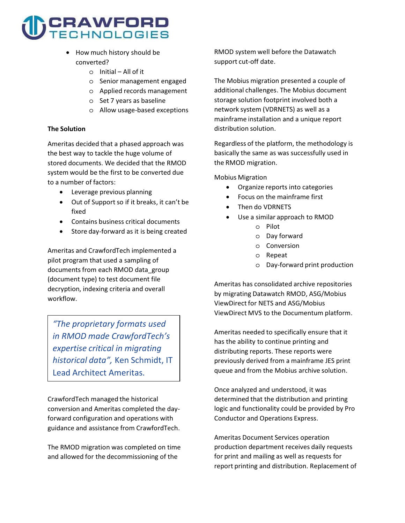# CRAWFORD

- **How much history should be converted?**
	- o **Initial All of it**
	- o **Senior management engaged**
	- o **Applied records management**
	- o **Set 7 years as baseline**
	- o **Allow usage-based exceptions**

#### **The Solution**

**Ameritas decided that a phased approach was the best way to tackle the huge volume of stored documents. We decided that the RMOD system would be the first to be converted due to a number of factors:** 

- **Leverage previous planning**
- **Out of Support so if it breaks, it can't be fixed**
- **Contains business critical documents**
- **Store day-forward as it is being created**

**Ameritas and CrawfordTech implemented a pilot program that used a sampling of documents from each RMOD data\_group (document type) to test document file decryption, indexing criteria and overall workflow.** 

**"The proprietary formats used in RMOD made CrawfordTech's expertise critical in migrating historical data", Ken Schmidt, IT Lead Architect Ameritas.** 

**CrawfordTech managed the historical conversion and Ameritas completed the dayforward configuration and operations with guidance and assistance from CrawfordTech.** 

**The RMOD migration was completed on time and allowed for the decommissioning of the** 

**RMOD system well before the Datawatch support cut-off date.** 

**The Mobius migration presented a couple of additional challenges. The Mobius document storage solution footprint involved both a network system (VDRNETS) as well as a mainframe installation and a unique report distribution solution.** 

**Regardless of the platform, the methodology is basically the same as was successfully used in the RMOD migration.** 

**Mobius Migration** 

- $\bullet$ **Organize reports into categories**
- $\overline{a}$ **Focus on the mainframe first**
- $\overline{a}$  **Then do VDRNETS**  $\overline{a}$ 
	- **Use a similar approach to RMOD**
		- o **Pilot**
		- o **Day forward**
		- o **Conversion**
		- o **Repeat**
		- o **Day-forward print production**

**Ameritas has consolidated archive repositories by migrating Datawatch RMOD, ASG/Mobius ViewDirect for NETS and ASG/Mobius ViewDirect MVS to the Documentum platform.** 

**Ameritas needed to specifically ensure that it has the ability to continue printing and distributing reports. These reports were previously derived from a mainframe JES print queue and from the Mobius archive solution.** 

**Once analyzed and understood, it was determined that the distribution and printing logic and functionality could be provided by Pro Conductor and Operations Express.** 

**Ameritas Document Services operation production department receives daily requests for print and mailing as well as requests for report printing and distribution. Replacement of**